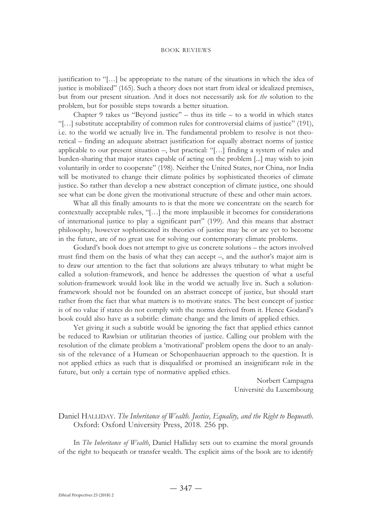justification to "[…] be appropriate to the nature of the situations in which the idea of justice is mobilized" (165). Such a theory does not start from ideal or idealized premises, but from our present situation. And it does not necessarily ask for *the* solution to the problem, but for possible steps towards a better situation.

Chapter 9 takes us "Beyond justice" – thus its title – to a world in which states "[…] substitute acceptability of common rules for controversial claims of justice" (191), i.e. to the world we actually live in. The fundamental problem to resolve is not theoretical – finding an adequate abstract justification for equally abstract norms of justice applicable to our present situation –, but practical: "[…] finding a system of rules and burden-sharing that major states capable of acting on the problem [...] may wish to join voluntarily in order to cooperate" (198). Neither the United States, nor China, nor India will be motivated to change their climate politics by sophisticated theories of climate justice. So rather than develop a new abstract conception of climate justice, one should see what can be done given the motivational structure of these and other main actors.

What all this finally amounts to is that the more we concentrate on the search for contextually acceptable rules, "[…] the more implausible it becomes for considerations of international justice to play a significant part" (199). And this means that abstract philosophy, however sophisticated its theories of justice may be or are yet to become in the future, are of no great use for solving our contemporary climate problems.

Godard's book does not attempt to give us concrete solutions – the actors involved must find them on the basis of what they can accept –, and the author's major aim is to draw our attention to the fact that solutions are always tributary to what might be called a solution-framework, and hence he addresses the question of what a useful solution-framework would look like in the world we actually live in. Such a solutionframework should not be founded on an abstract concept of justice, but should start rather from the fact that what matters is to motivate states. The best concept of justice is of no value if states do not comply with the norms derived from it. Hence Godard's book could also have as a subtitle: climate change and the limits of applied ethics.

Yet giving it such a subtitle would be ignoring the fact that applied ethics cannot be reduced to Rawlsian or utilitarian theories of justice. Calling our problem with the resolution of the climate problem a 'motivational' problem opens the door to an analysis of the relevance of a Humean or Schopenhauerian approach to the question. It is not applied ethics as such that is disqualified or promised an insignificant role in the future, but only a certain type of normative applied ethics.

> Norbert Campagna Université du Luxembourg

## Daniel HALLIDAY. *The Inheritance of Wealth*. Justice, Equality, and the Right to Bequeath. Oxford: Oxford University Press, 2018. 256 pp.

In *The Inheritance of Wealth*, Daniel Halliday sets out to examine the moral grounds of the right to bequeath or transfer wealth. The explicit aims of the book are to identify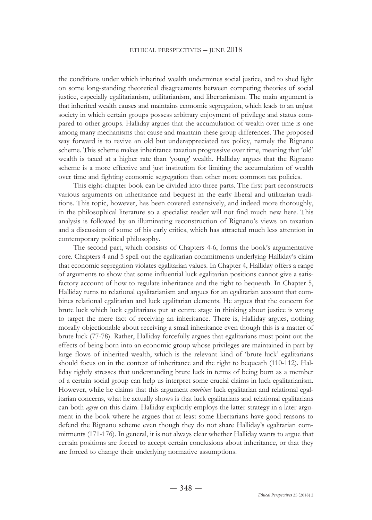the conditions under which inherited wealth undermines social justice, and to shed light on some long-standing theoretical disagreements between competing theories of social justice, especially egalitarianism, utilitarianism, and libertarianism. The main argument is that inherited wealth causes and maintains economic segregation, which leads to an unjust society in which certain groups possess arbitrary enjoyment of privilege and status compared to other groups. Halliday argues that the accumulation of wealth over time is one among many mechanisms that cause and maintain these group differences. The proposed way forward is to revive an old but underappreciated tax policy, namely the Rignano scheme. This scheme makes inheritance taxation progressive over time, meaning that 'old' wealth is taxed at a higher rate than 'young' wealth. Halliday argues that the Rignano scheme is a more effective and just institution for limiting the accumulation of wealth over time and fighting economic segregation than other more common tax policies.

This eight-chapter book can be divided into three parts. The first part reconstructs various arguments on inheritance and bequest in the early liberal and utilitarian traditions. This topic, however, has been covered extensively, and indeed more thoroughly, in the philosophical literature so a specialist reader will not find much new here. This analysis is followed by an illuminating reconstruction of Rignano's views on taxation and a discussion of some of his early critics, which has attracted much less attention in contemporary political philosophy.

The second part, which consists of Chapters 4-6, forms the book's argumentative core. Chapters 4 and 5 spell out the egalitarian commitments underlying Halliday's claim that economic segregation violates egalitarian values. In Chapter 4, Halliday offers a range of arguments to show that some influential luck egalitarian positions cannot give a satisfactory account of how to regulate inheritance and the right to bequeath. In Chapter 5, Halliday turns to relational egalitarianism and argues for an egalitarian account that combines relational egalitarian and luck egalitarian elements. He argues that the concern for brute luck which luck egalitarians put at centre stage in thinking about justice is wrong to target the mere fact of receiving an inheritance. There is, Halliday argues, nothing morally objectionable about receiving a small inheritance even though this is a matter of brute luck (77-78). Rather, Halliday forcefully argues that egalitarians must point out the effects of being born into an economic group whose privileges are maintained in part by large flows of inherited wealth, which is the relevant kind of 'brute luck' egalitarians should focus on in the context of inheritance and the right to bequeath (110-112). Halliday rightly stresses that understanding brute luck in terms of being born as a member of a certain social group can help us interpret some crucial claims in luck egalitarianism. However, while he claims that this argument *combines* luck egalitarian and relational egalitarian concerns, what he actually shows is that luck egalitarians and relational egalitarians can both *agree* on this claim. Halliday explicitly employs the latter strategy in a later argument in the book where he argues that at least some libertarians have good reasons to defend the Rignano scheme even though they do not share Halliday's egalitarian commitments (171-176). In general, it is not always clear whether Halliday wants to argue that certain positions are forced to accept certain conclusions about inheritance, or that they are forced to change their underlying normative assumptions.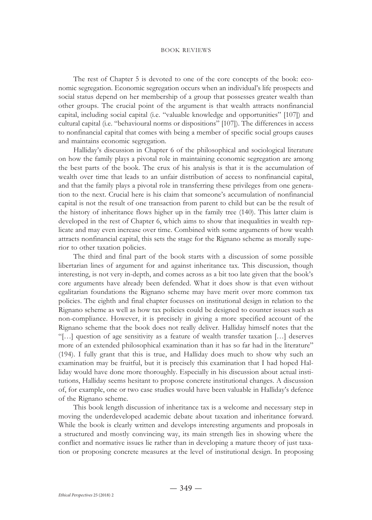## book reviews

The rest of Chapter 5 is devoted to one of the core concepts of the book: economic segregation. Economic segregation occurs when an individual's life prospects and social status depend on her membership of a group that possesses greater wealth than other groups. The crucial point of the argument is that wealth attracts nonfinancial capital, including social capital (i.e. "valuable knowledge and opportunities" [107]) and cultural capital (i.e. "behavioural norms or dispositions" [107]). The differences in access to nonfinancial capital that comes with being a member of specific social groups causes and maintains economic segregation.

Halliday's discussion in Chapter 6 of the philosophical and sociological literature on how the family plays a pivotal role in maintaining economic segregation are among the best parts of the book. The crux of his analysis is that it is the accumulation of wealth over time that leads to an unfair distribution of access to nonfinancial capital, and that the family plays a pivotal role in transferring these privileges from one generation to the next. Crucial here is his claim that someone's accumulation of nonfinancial capital is not the result of one transaction from parent to child but can be the result of the history of inheritance flows higher up in the family tree (140). This latter claim is developed in the rest of Chapter 6, which aims to show that inequalities in wealth replicate and may even increase over time. Combined with some arguments of how wealth attracts nonfinancial capital, this sets the stage for the Rignano scheme as morally superior to other taxation policies.

The third and final part of the book starts with a discussion of some possible libertarian lines of argument for and against inheritance tax. This discussion, though interesting, is not very in-depth, and comes across as a bit too late given that the book's core arguments have already been defended. What it does show is that even without egalitarian foundations the Rignano scheme may have merit over more common tax policies. The eighth and final chapter focusses on institutional design in relation to the Rignano scheme as well as how tax policies could be designed to counter issues such as non-compliance. However, it is precisely in giving a more specified account of the Rignano scheme that the book does not really deliver. Halliday himself notes that the "[…] question of age sensitivity as a feature of wealth transfer taxation […] deserves more of an extended philosophical examination than it has so far had in the literature" (194). I fully grant that this is true, and Halliday does much to show why such an examination may be fruitful, but it is precisely this examination that I had hoped Halliday would have done more thoroughly. Especially in his discussion about actual institutions, Halliday seems hesitant to propose concrete institutional changes. A discussion of, for example, one or two case studies would have been valuable in Halliday's defence of the Rignano scheme.

This book length discussion of inheritance tax is a welcome and necessary step in moving the underdeveloped academic debate about taxation and inheritance forward. While the book is clearly written and develops interesting arguments and proposals in a structured and mostly convincing way, its main strength lies in showing where the conflict and normative issues lie rather than in developing a mature theory of just taxation or proposing concrete measures at the level of institutional design. In proposing